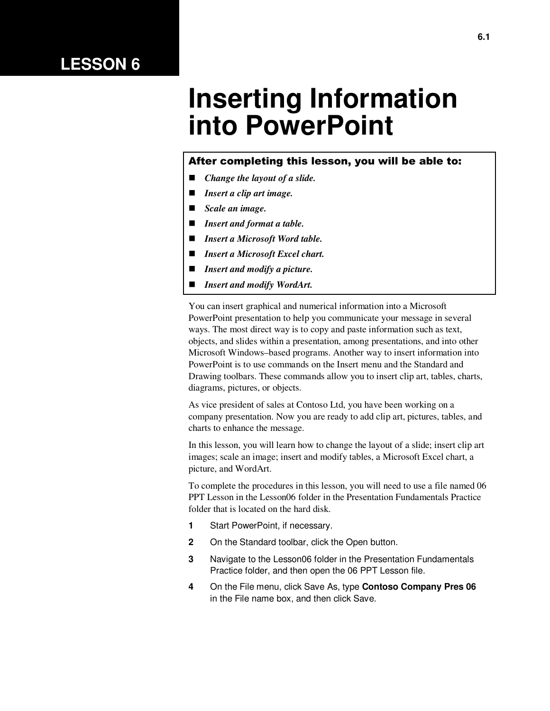# **LESSON 6**

# **Inserting Information into PowerPoint**

#### After completing this lesson, you will be able to:

- *Change the layout of a slide.*
- *Insert a clip art image.*
- *Scale an image.*
- *Insert and format a table.*
- *Insert a Microsoft Word table.*
- *Insert a Microsoft Excel chart.*
- *Insert and modify a picture.*
- *Insert and modify WordArt.*

You can insert graphical and numerical information into a Microsoft PowerPoint presentation to help you communicate your message in several ways. The most direct way is to copy and paste information such as text, objects, and slides within a presentation, among presentations, and into other Microsoft Windows–based programs. Another way to insert information into PowerPoint is to use commands on the Insert menu and the Standard and Drawing toolbars. These commands allow you to insert clip art, tables, charts, diagrams, pictures, or objects.

As vice president of sales at Contoso Ltd, you have been working on a company presentation. Now you are ready to add clip art, pictures, tables, and charts to enhance the message.

In this lesson, you will learn how to change the layout of a slide; insert clip art images; scale an image; insert and modify tables, a Microsoft Excel chart, a picture, and WordArt.

To complete the procedures in this lesson, you will need to use a file named 06 PPT Lesson in the Lesson06 folder in the Presentation Fundamentals Practice folder that is located on the hard disk.

- **1** Start PowerPoint, if necessary.
- **2** On the Standard toolbar, click the Open button.
- **3** Navigate to the Lesson06 folder in the Presentation Fundamentals Practice folder, and then open the 06 PPT Lesson file.
- **4** On the File menu, click Save As, type **Contoso Company Pres 06**  in the File name box, and then click Save.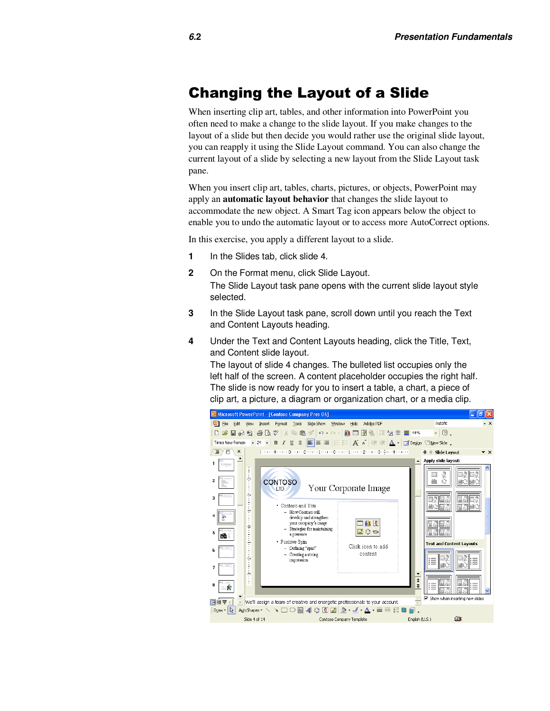#### Changing the Layout of a Slide

When inserting clip art, tables, and other information into PowerPoint you often need to make a change to the slide layout. If you make changes to the layout of a slide but then decide you would rather use the original slide layout, you can reapply it using the Slide Layout command. You can also change the current layout of a slide by selecting a new layout from the Slide Layout task pane.

When you insert clip art, tables, charts, pictures, or objects, PowerPoint may apply an **automatic layout behavior** that changes the slide layout to accommodate the new object. A Smart Tag icon appears below the object to enable you to undo the automatic layout or to access more AutoCorrect options.

In this exercise, you apply a different layout to a slide.

- **1** In the Slides tab, click slide 4.
- **2** On the Format menu, click Slide Layout.

The Slide Layout task pane opens with the current slide layout style selected.

- **3** In the Slide Layout task pane, scroll down until you reach the Text and Content Layouts heading.
- **4** Under the Text and Content Layouts heading, click the Title, Text, and Content slide layout.

The layout of slide 4 changes. The bulleted list occupies only the left half of the screen. A content placeholder occupies the right half. The slide is now ready for you to insert a table, a chart, a piece of clip art, a picture, a diagram or organization chart, or a media clip.

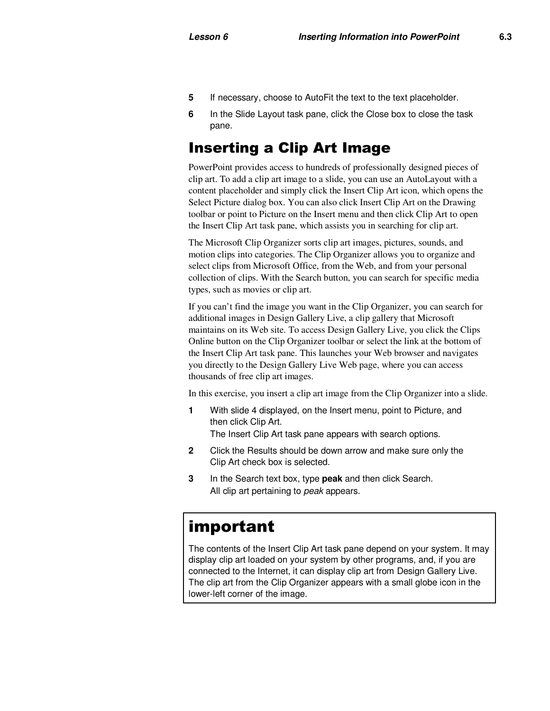- **5** If necessary, choose to AutoFit the text to the text placeholder.
- **6** In the Slide Layout task pane, click the Close box to close the task pane.

# Inserting a Clip Art Image

PowerPoint provides access to hundreds of professionally designed pieces of clip art. To add a clip art image to a slide, you can use an AutoLayout with a content placeholder and simply click the Insert Clip Art icon, which opens the Select Picture dialog box. You can also click Insert Clip Art on the Drawing toolbar or point to Picture on the Insert menu and then click Clip Art to open the Insert Clip Art task pane, which assists you in searching for clip art.

The Microsoft Clip Organizer sorts clip art images, pictures, sounds, and motion clips into categories. The Clip Organizer allows you to organize and select clips from Microsoft Office, from the Web, and from your personal collection of clips. With the Search button, you can search for specific media types, such as movies or clip art.

If you can't find the image you want in the Clip Organizer, you can search for additional images in Design Gallery Live, a clip gallery that Microsoft maintains on its Web site. To access Design Gallery Live, you click the Clips Online button on the Clip Organizer toolbar or select the link at the bottom of the Insert Clip Art task pane. This launches your Web browser and navigates you directly to the Design Gallery Live Web page, where you can access thousands of free clip art images.

In this exercise, you insert a clip art image from the Clip Organizer into a slide.

**1** With slide 4 displayed, on the Insert menu, point to Picture, and then click Clip Art.

The Insert Clip Art task pane appears with search options.

- **2** Click the Results should be down arrow and make sure only the Clip Art check box is selected.
- **3** In the Search text box, type **peak** and then click Search. All clip art pertaining to peak appears.

# important

The contents of the Insert Clip Art task pane depend on your system. It may display clip art loaded on your system by other programs, and, if you are connected to the Internet, it can display clip art from Design Gallery Live. The clip art from the Clip Organizer appears with a small globe icon in the lower-left corner of the image.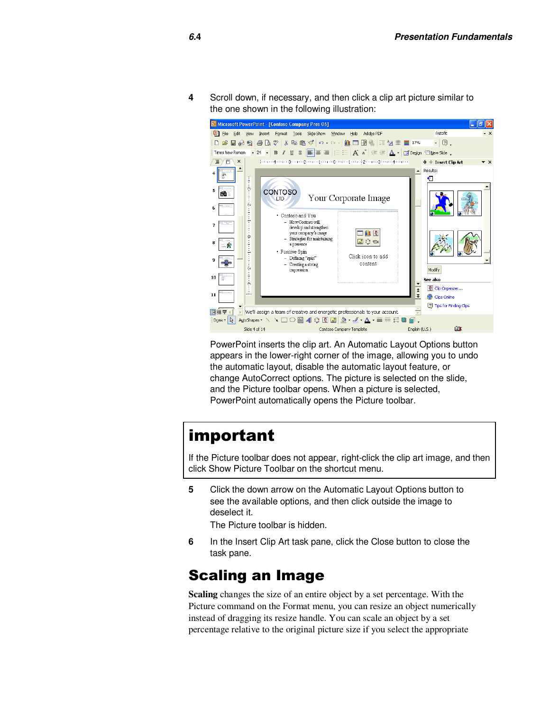**4** Scroll down, if necessary, and then click a clip art picture similar to the one shown in the following illustration:



PowerPoint inserts the clip art. An Automatic Layout Options button appears in the lower-right corner of the image, allowing you to undo the automatic layout, disable the automatic layout feature, or change AutoCorrect options. The picture is selected on the slide, and the Picture toolbar opens. When a picture is selected, PowerPoint automatically opens the Picture toolbar.

# important

If the Picture toolbar does not appear, right-click the clip art image, and then click Show Picture Toolbar on the shortcut menu.

**5** Click the down arrow on the Automatic Layout Options button to see the available options, and then click outside the image to deselect it.

The Picture toolbar is hidden.

**6** In the Insert Clip Art task pane, click the Close button to close the task pane.

#### Scaling an Image

**Scaling** changes the size of an entire object by a set percentage. With the Picture command on the Format menu, you can resize an object numerically instead of dragging its resize handle. You can scale an object by a set percentage relative to the original picture size if you select the appropriate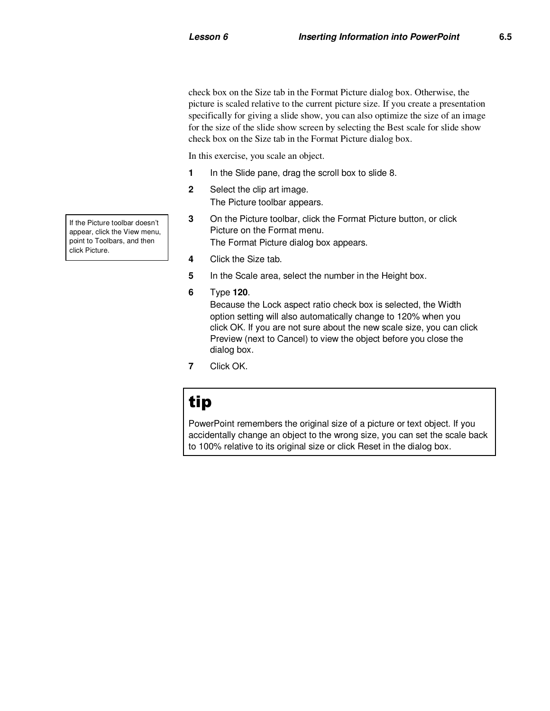check box on the Size tab in the Format Picture dialog box. Otherwise, the picture is scaled relative to the current picture size. If you create a presentation specifically for giving a slide show, you can also optimize the size of an image for the size of the slide show screen by selecting the Best scale for slide show check box on the Size tab in the Format Picture dialog box.

In this exercise, you scale an object.

- **1** In the Slide pane, drag the scroll box to slide 8.
- **2** Select the clip art image. The Picture toolbar appears.
- **3** On the Picture toolbar, click the Format Picture button, or click Picture on the Format menu. The Format Picture dialog box appears.
- **4** Click the Size tab.
- **5** In the Scale area, select the number in the Height box.
- **6** Type **120**.

Because the Lock aspect ratio check box is selected, the Width option setting will also automatically change to 120% when you click OK. If you are not sure about the new scale size, you can click Preview (next to Cancel) to view the object before you close the dialog box.

**7** Click OK.

# tip

PowerPoint remembers the original size of a picture or text object. If you accidentally change an object to the wrong size, you can set the scale back to 100% relative to its original size or click Reset in the dialog box.

If the Picture toolbar doesn't appear, click the View menu, point to Toolbars, and then click Picture.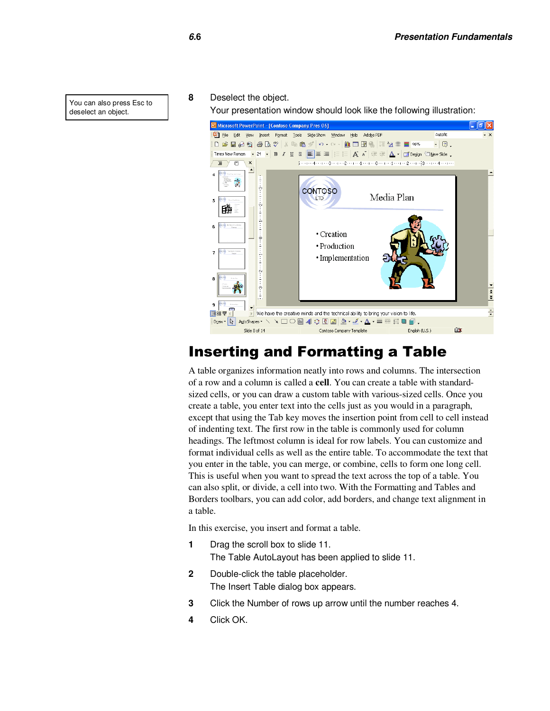#### **8** Deselect the object.

Your presentation window should look like the following illustration:



#### Inserting and Formatting a Table

A table organizes information neatly into rows and columns. The intersection of a row and a column is called a **cell**. You can create a table with standardsized cells, or you can draw a custom table with various-sized cells. Once you create a table, you enter text into the cells just as you would in a paragraph, except that using the Tab key moves the insertion point from cell to cell instead of indenting text. The first row in the table is commonly used for column headings. The leftmost column is ideal for row labels. You can customize and format individual cells as well as the entire table. To accommodate the text that you enter in the table, you can merge, or combine, cells to form one long cell. This is useful when you want to spread the text across the top of a table. You can also split, or divide, a cell into two. With the Formatting and Tables and Borders toolbars, you can add color, add borders, and change text alignment in a table.

In this exercise, you insert and format a table.

- **1** Drag the scroll box to slide 11. The Table AutoLayout has been applied to slide 11.
- **2** Double-click the table placeholder. The Insert Table dialog box appears.
- **3** Click the Number of rows up arrow until the number reaches 4.
- **4** Click OK.

You can also press Esc to deselect an object.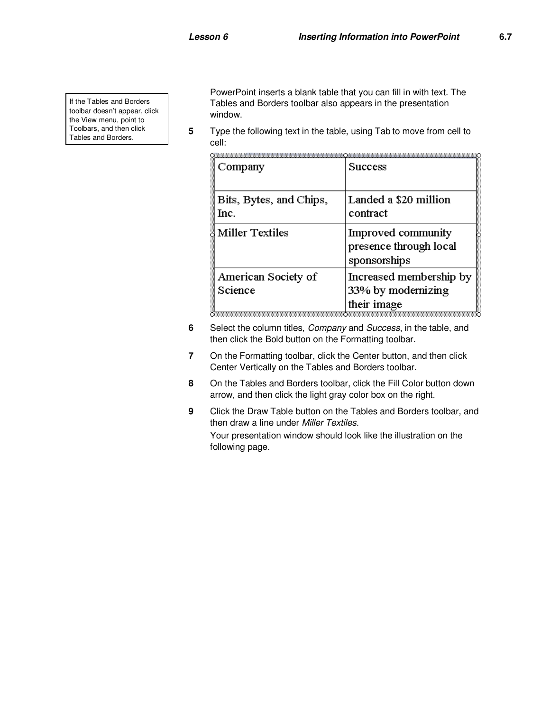If the Tables and Borders toolbar doesn't appear, click the View menu, point to Toolbars, and then click Tables and Borders.

PowerPoint inserts a blank table that you can fill in with text. The Tables and Borders toolbar also appears in the presentation window.

**5** Type the following text in the table, using Tab to move from cell to cell:

| Company                         | <b>Success</b>                                               |
|---------------------------------|--------------------------------------------------------------|
| Bits, Bytes, and Chips,<br>Inc. | Landed a \$20 million<br>contract                            |
| <b>Miller Textiles</b>          | Improved community<br>presence through local<br>sponsorships |
| American Society of<br>Science  | Increased membership by<br>33% by modernizing<br>their image |

- **6** Select the column titles, *Company* and *Success*, in the table, and then click the Bold button on the Formatting toolbar.
- **7** On the Formatting toolbar, click the Center button, and then click Center Vertically on the Tables and Borders toolbar.
- **8** On the Tables and Borders toolbar, click the Fill Color button down arrow, and then click the light gray color box on the right.
- **9** Click the Draw Table button on the Tables and Borders toolbar, and then draw a line under Miller Textiles. Your presentation window should look like the illustration on the following page.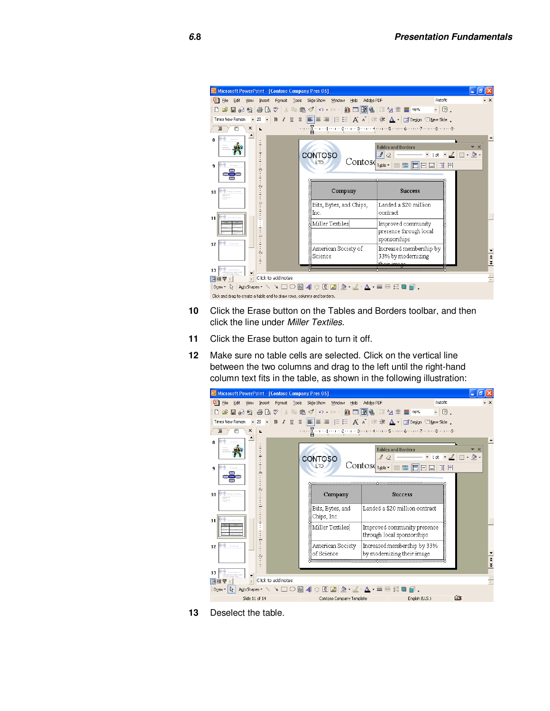| <b>G</b> Microsoft PowerPoint - [Contoso Company Pres 06]                               |                 |                    |                                |                                    |                                                                                                                                |                                                                       |                      |
|-----------------------------------------------------------------------------------------|-----------------|--------------------|--------------------------------|------------------------------------|--------------------------------------------------------------------------------------------------------------------------------|-----------------------------------------------------------------------|----------------------|
| File<br>Edit<br>View                                                                    | Insert          | Format<br>Tools    | Slide Show<br>Window           | Help                               | Adobe PDF                                                                                                                      | Autofit                                                               | $\cdot$ $\times$     |
| $\mathfrak{B} \boxplus \mathfrak{B} \boxplus \boxtimes \mathfrak{B}$ ) $\mathbb{R}^n$   |                 |                    |                                |                                    | kk 6 ₫   K + Q +   ((() ⊞   B   (§   III 12 III   E 16%                                                                        | $-2$ .                                                                |                      |
| Times New Roman                                                                         | 28              | $\cdot$ B $I$ U    |                                |                                    | S $\boxed{\equiv}$ = $\equiv$ $ E E $ $\overline{A}$ $\land$ $ E $ $\overline{E}$ $ A -  E $ Design $\Diamond$ New Side $\Box$ |                                                                       |                      |
| п<br>×                                                                                  |                 |                    |                                |                                    | . <u>Zaarad aan 2 aan as aanas</u> aan san as aan san aan san as s                                                             |                                                                       |                      |
| ឧ<br>q<br><b>Extermalar</b>                                                             | $\ddot{ }$<br>ò |                    | <b>CONTOSO</b><br><b>ITD</b>   | Contos                             | <b>Tables and Borders</b><br>Table *<br>画面目目目                                                                                  | $\cdot$ 1pt $\cdot$ $\angle$ $\Box$ $\cdot$ $\Diamond$ $\cdot$<br>田 田 | $\bullet$ $\times$   |
| m<br>10<br><b>STATIONS</b>                                                              | Ŵ               |                    |                                | Company<br>Bits, Bytes, and Chips, | <b>Success</b><br>Landed a \$20 million                                                                                        |                                                                       |                      |
| 11                                                                                      |                 |                    | Inc.                           |                                    | contract                                                                                                                       |                                                                       |                      |
| <b>Service Street</b>                                                                   |                 |                    | Miller Textiles                |                                    | Improved community<br>presence through local<br>sponsorships                                                                   | <b>NAME OF STRAIGHT AND ASSESS</b>                                    |                      |
| 12                                                                                      | Ń               |                    | American Society of<br>Science |                                    | Increased membership by<br>33% by modernizing<br>مممعشعشطة                                                                     |                                                                       | $\frac{1}{1}$        |
| 13                                                                                      |                 |                    |                                |                                    |                                                                                                                                |                                                                       |                      |
| 回器室                                                                                     |                 | Click to add notes |                                |                                    |                                                                                                                                |                                                                       | $\frac{\Delta}{\pi}$ |
| ो⊹<br>Draw -<br>Click and drag to create a table and to draw rows, columns and borders. |                 |                    |                                |                                    |                                                                                                                                |                                                                       |                      |
|                                                                                         |                 |                    |                                |                                    |                                                                                                                                |                                                                       |                      |

- **10** Click the Erase button on the Tables and Borders toolbar, and then click the line under Miller Textiles.
- **11** Click the Erase button again to turn it off.
- **12** Make sure no table cells are selected. Click on the vertical line between the two columns and drag to the left until the right-hand column text fits in the table, as shown in the following illustration:



**13** Deselect the table.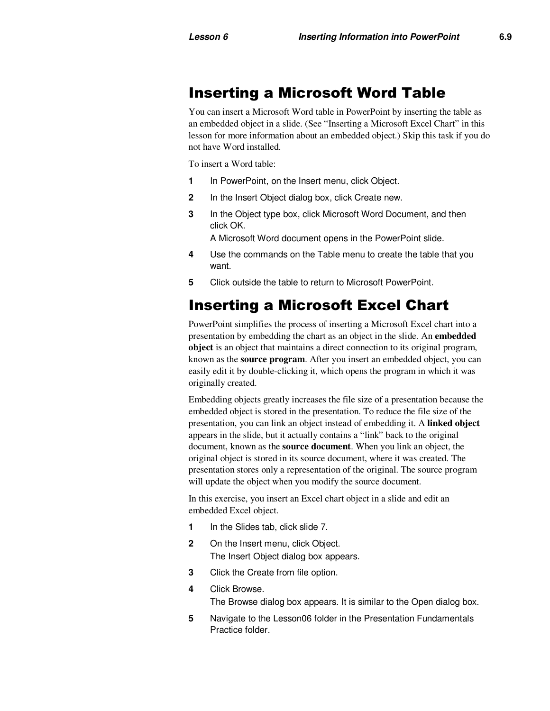#### Inserting a Microsoft Word Table

You can insert a Microsoft Word table in PowerPoint by inserting the table as an embedded object in a slide. (See "Inserting a Microsoft Excel Chart" in this lesson for more information about an embedded object.) Skip this task if you do not have Word installed.

To insert a Word table:

- **1** In PowerPoint, on the Insert menu, click Object.
- **2** In the Insert Object dialog box, click Create new.
- **3** In the Object type box, click Microsoft Word Document, and then click OK.

A Microsoft Word document opens in the PowerPoint slide.

- **4** Use the commands on the Table menu to create the table that you want.
- **5** Click outside the table to return to Microsoft PowerPoint.

# Inserting a Microsoft Excel Chart

PowerPoint simplifies the process of inserting a Microsoft Excel chart into a presentation by embedding the chart as an object in the slide. An **embedded object** is an object that maintains a direct connection to its original program, known as the **source program**. After you insert an embedded object, you can easily edit it by double-clicking it, which opens the program in which it was originally created.

Embedding objects greatly increases the file size of a presentation because the embedded object is stored in the presentation. To reduce the file size of the presentation, you can link an object instead of embedding it. A **linked object**  appears in the slide, but it actually contains a "link" back to the original document, known as the **source document**. When you link an object, the original object is stored in its source document, where it was created. The presentation stores only a representation of the original. The source program will update the object when you modify the source document.

In this exercise, you insert an Excel chart object in a slide and edit an embedded Excel object.

- **1** In the Slides tab, click slide 7.
- **2** On the Insert menu, click Object. The Insert Object dialog box appears.
- **3** Click the Create from file option.
- **4** Click Browse. The Browse dialog box appears. It is similar to the Open dialog box.
	- **5** Navigate to the Lesson06 folder in the Presentation Fundamentals Practice folder.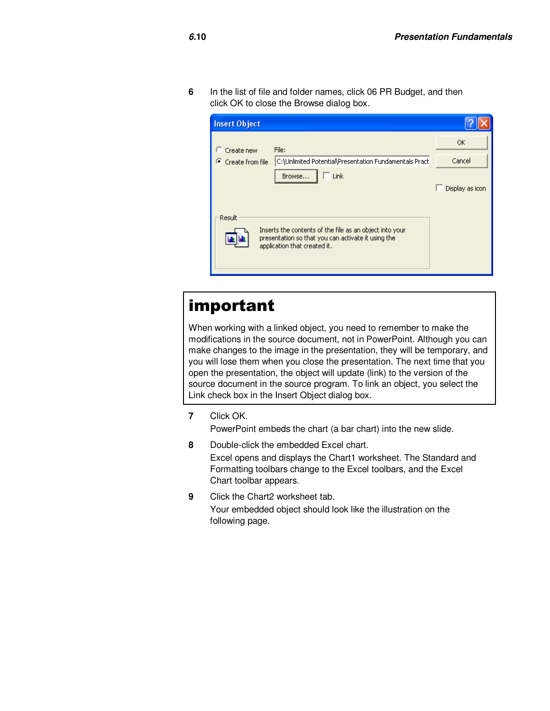**6** In the list of file and folder names, click 06 PR Budget, and then click OK to close the Browse dialog box.

| <b>Insert Object</b>            |                                                                                                                                 |                 |
|---------------------------------|---------------------------------------------------------------------------------------------------------------------------------|-----------------|
| $\Box$ Create new               | File:                                                                                                                           | OK              |
| $\binom{3}{1}$ Create from file | C:\Unlimited Potential\Presentation Fundamentals Pract                                                                          | Cancel          |
| Result                          | Link<br>Browse<br>Inserts the contents of the file as an object into your<br>presentation so that you can activate it using the | Display as icon |
|                                 | application that created it.                                                                                                    |                 |

# important

When working with a linked object, you need to remember to make the modifications in the source document, not in PowerPoint. Although you can make changes to the image in the presentation, they will be temporary, and you will lose them when you close the presentation. The next time that you open the presentation, the object will update (link) to the version of the source document in the source program. To link an object, you select the Link check box in the Insert Object dialog box.

**7** Click OK.

PowerPoint embeds the chart (a bar chart) into the new slide.

- **8** Double-click the embedded Excel chart. Excel opens and displays the Chart1 worksheet. The Standard and Formatting toolbars change to the Excel toolbars, and the Excel Chart toolbar appears.
- **9** Click the Chart2 worksheet tab. Your embedded object should look like the illustration on the following page.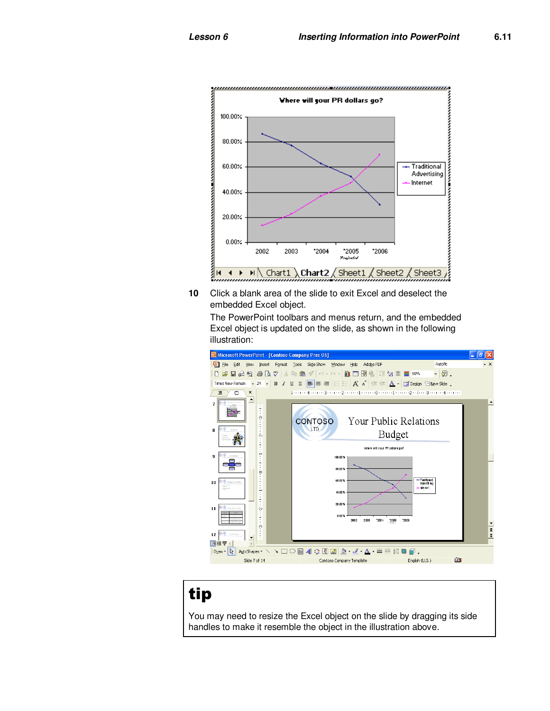

**10** Click a blank area of the slide to exit Excel and deselect the embedded Excel object.

The PowerPoint toolbars and menus return, and the embedded Excel object is updated on the slide, as shown in the following illustration:



# tip

You may need to resize the Excel object on the slide by dragging its side handles to make it resemble the object in the illustration above.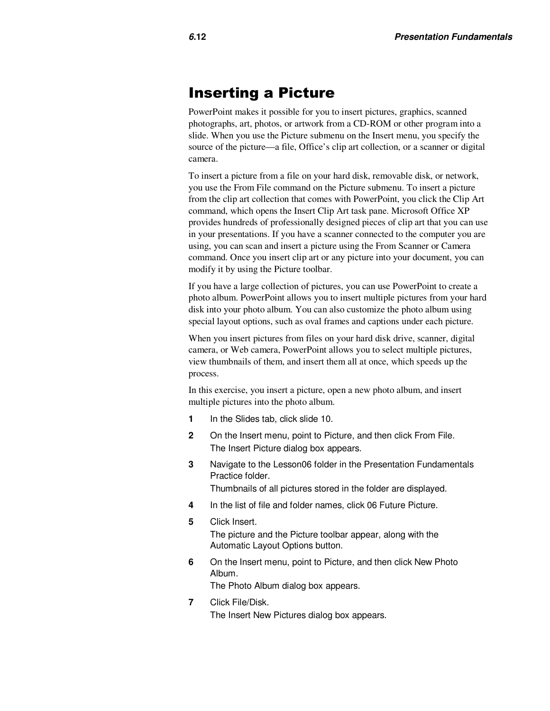#### Inserting a Picture

PowerPoint makes it possible for you to insert pictures, graphics, scanned photographs, art, photos, or artwork from a CD-ROM or other program into a slide. When you use the Picture submenu on the Insert menu, you specify the source of the picture—a file, Office's clip art collection, or a scanner or digital camera.

To insert a picture from a file on your hard disk, removable disk, or network, you use the From File command on the Picture submenu. To insert a picture from the clip art collection that comes with PowerPoint, you click the Clip Art command, which opens the Insert Clip Art task pane. Microsoft Office XP provides hundreds of professionally designed pieces of clip art that you can use in your presentations. If you have a scanner connected to the computer you are using, you can scan and insert a picture using the From Scanner or Camera command. Once you insert clip art or any picture into your document, you can modify it by using the Picture toolbar.

If you have a large collection of pictures, you can use PowerPoint to create a photo album. PowerPoint allows you to insert multiple pictures from your hard disk into your photo album. You can also customize the photo album using special layout options, such as oval frames and captions under each picture.

When you insert pictures from files on your hard disk drive, scanner, digital camera, or Web camera, PowerPoint allows you to select multiple pictures, view thumbnails of them, and insert them all at once, which speeds up the process.

In this exercise, you insert a picture, open a new photo album, and insert multiple pictures into the photo album.

- **1** In the Slides tab, click slide 10.
- **2** On the Insert menu, point to Picture, and then click From File. The Insert Picture dialog box appears.
- **3** Navigate to the Lesson06 folder in the Presentation Fundamentals Practice folder. Thumbnails of all pictures stored in the folder are displayed.
- **4** In the list of file and folder names, click 06 Future Picture.
- **5** Click Insert. The picture and the Picture toolbar appear, along with the Automatic Layout Options button.
- **6** On the Insert menu, point to Picture, and then click New Photo Album.

The Photo Album dialog box appears.

**7** Click File/Disk. The Insert New Pictures dialog box appears.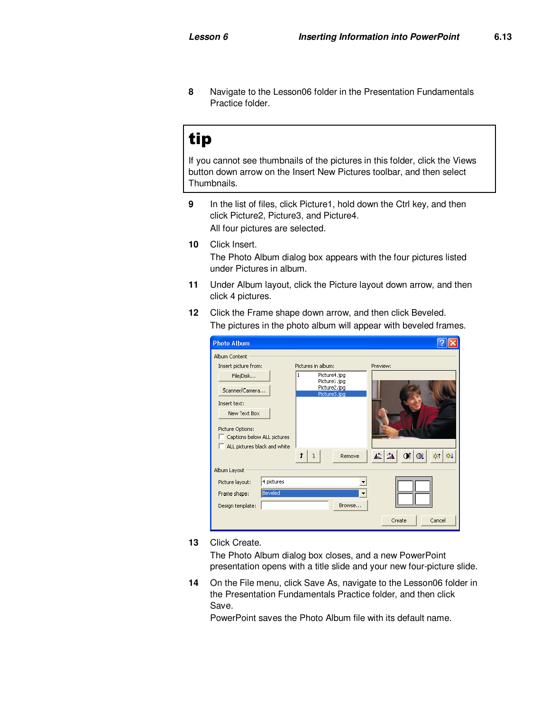**8** Navigate to the Lesson06 folder in the Presentation Fundamentals Practice folder.

# tip

If you cannot see thumbnails of the pictures in this folder, click the Views button down arrow on the Insert New Pictures toolbar, and then select Thumbnails.

- **9** In the list of files, click Picture1, hold down the Ctrl key, and then click Picture2, Picture3, and Picture4. All four pictures are selected.
- **10** Click Insert. The Photo Album dialog box appears with the four pictures listed under Pictures in album.
- **11** Under Album layout, click the Picture layout down arrow, and then click 4 pictures.
- **12** Click the Frame shape down arrow, and then click Beveled. The pictures in the photo album will appear with beveled frames.

| <b>Photo Album</b>                                                              |                                              |                                                |  |  |  |
|---------------------------------------------------------------------------------|----------------------------------------------|------------------------------------------------|--|--|--|
| Album Content                                                                   |                                              |                                                |  |  |  |
| Insert picture from:                                                            | Pictures in album:                           | Preview:                                       |  |  |  |
| File/Disk                                                                       | Picture4.jpg<br>1                            |                                                |  |  |  |
| Scanner/Camera                                                                  | Picture1.jpg<br>Picture2.jpg<br>Picture3.jpg |                                                |  |  |  |
| Insert text:                                                                    |                                              |                                                |  |  |  |
| New Text Box                                                                    |                                              |                                                |  |  |  |
| Picture Options:<br>Captions below ALL pictures<br>ALL pictures black and white |                                              |                                                |  |  |  |
|                                                                                 | ↑<br>٦<br>Remove                             | 心么<br>$\circ$<br>ot<br>$\circ$ †<br>$\bigcirc$ |  |  |  |
| Album Layout                                                                    |                                              |                                                |  |  |  |
| 4 pictures<br>Picture layout:                                                   |                                              |                                                |  |  |  |
| <b>Beveled</b><br>Frame shape:                                                  |                                              |                                                |  |  |  |
| Design template:                                                                | Browse                                       |                                                |  |  |  |
|                                                                                 |                                              | Cancel<br>Create                               |  |  |  |

**13** Click Create.

The Photo Album dialog box closes, and a new PowerPoint presentation opens with a title slide and your new four-picture slide.

**14** On the File menu, click Save As, navigate to the Lesson06 folder in the Presentation Fundamentals Practice folder, and then click Save.

PowerPoint saves the Photo Album file with its default name.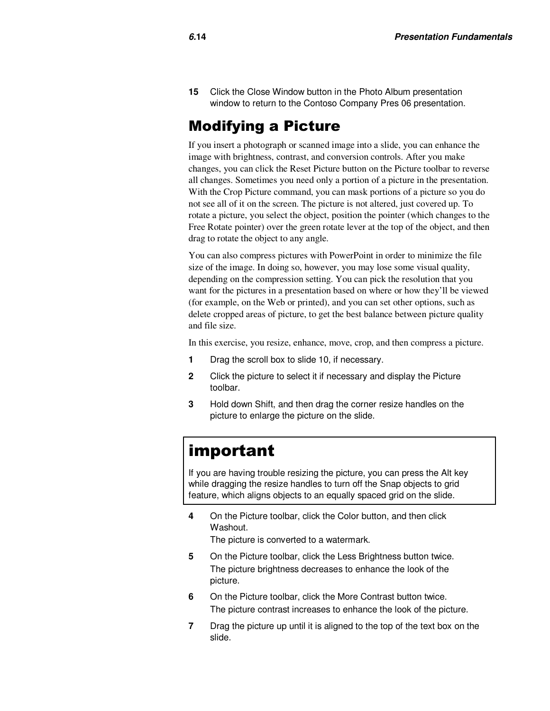**15** Click the Close Window button in the Photo Album presentation window to return to the Contoso Company Pres 06 presentation.

#### Modifying a Picture

If you insert a photograph or scanned image into a slide, you can enhance the image with brightness, contrast, and conversion controls. After you make changes, you can click the Reset Picture button on the Picture toolbar to reverse all changes. Sometimes you need only a portion of a picture in the presentation. With the Crop Picture command, you can mask portions of a picture so you do not see all of it on the screen. The picture is not altered, just covered up. To rotate a picture, you select the object, position the pointer (which changes to the Free Rotate pointer) over the green rotate lever at the top of the object, and then drag to rotate the object to any angle.

You can also compress pictures with PowerPoint in order to minimize the file size of the image. In doing so, however, you may lose some visual quality, depending on the compression setting. You can pick the resolution that you want for the pictures in a presentation based on where or how they'll be viewed (for example, on the Web or printed), and you can set other options, such as delete cropped areas of picture, to get the best balance between picture quality and file size.

In this exercise, you resize, enhance, move, crop, and then compress a picture.

- **1** Drag the scroll box to slide 10, if necessary.
- **2** Click the picture to select it if necessary and display the Picture toolbar.
- **3** Hold down Shift, and then drag the corner resize handles on the picture to enlarge the picture on the slide.

#### important

If you are having trouble resizing the picture, you can press the Alt key while dragging the resize handles to turn off the Snap objects to grid feature, which aligns objects to an equally spaced grid on the slide.

**4** On the Picture toolbar, click the Color button, and then click Washout.

The picture is converted to a watermark.

- **5** On the Picture toolbar, click the Less Brightness button twice. The picture brightness decreases to enhance the look of the picture.
- **6** On the Picture toolbar, click the More Contrast button twice. The picture contrast increases to enhance the look of the picture.
- **7** Drag the picture up until it is aligned to the top of the text box on the slide.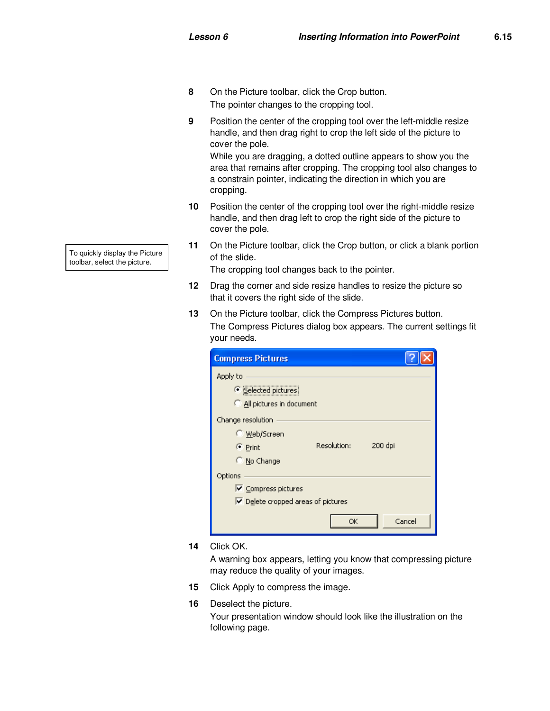- **8** On the Picture toolbar, click the Crop button. The pointer changes to the cropping tool.
- **9** Position the center of the cropping tool over the left-middle resize handle, and then drag right to crop the left side of the picture to cover the pole.

While you are dragging, a dotted outline appears to show you the area that remains after cropping. The cropping tool also changes to a constrain pointer, indicating the direction in which you are cropping.

- **10** Position the center of the cropping tool over the right-middle resize handle, and then drag left to crop the right side of the picture to cover the pole.
- **11** On the Picture toolbar, click the Crop button, or click a blank portion of the slide.

The cropping tool changes back to the pointer.

- **12** Drag the corner and side resize handles to resize the picture so that it covers the right side of the slide.
- **13** On the Picture toolbar, click the Compress Pictures button. The Compress Pictures dialog box appears. The current settings fit your needs.

| <b>Compress Pictures</b>                          |        |  |  |
|---------------------------------------------------|--------|--|--|
| Apply to<br>● Selected pictures                   |        |  |  |
| All pictures in document                          |        |  |  |
| Change resolution                                 |        |  |  |
| C Web/Screen                                      |        |  |  |
| Resolution:<br>200 dpi<br>C Print                 |        |  |  |
| ○ No Change                                       |        |  |  |
| Options                                           |        |  |  |
| $\triangledown$ Compress pictures                 |        |  |  |
| $\triangleright$ Delete cropped areas of pictures |        |  |  |
| OK                                                | Cancel |  |  |

**14** Click OK.

A warning box appears, letting you know that compressing picture may reduce the quality of your images.

- **15** Click Apply to compress the image.
- **16** Deselect the picture.

Your presentation window should look like the illustration on the following page.

To quickly display the Picture toolbar, select the picture.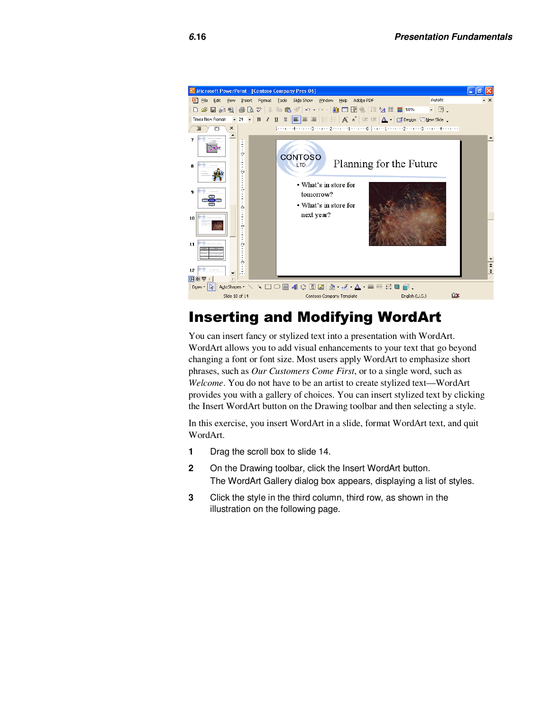

# Inserting and Modifying WordArt

You can insert fancy or stylized text into a presentation with WordArt. WordArt allows you to add visual enhancements to your text that go beyond changing a font or font size. Most users apply WordArt to emphasize short phrases, such as *Our Customers Come First*, or to a single word, such as *Welcome*. You do not have to be an artist to create stylized text—WordArt provides you with a gallery of choices. You can insert stylized text by clicking the Insert WordArt button on the Drawing toolbar and then selecting a style.

In this exercise, you insert WordArt in a slide, format WordArt text, and quit WordArt.

- **1** Drag the scroll box to slide 14.
- **2** On the Drawing toolbar, click the Insert WordArt button. The WordArt Gallery dialog box appears, displaying a list of styles.
- **3** Click the style in the third column, third row, as shown in the illustration on the following page.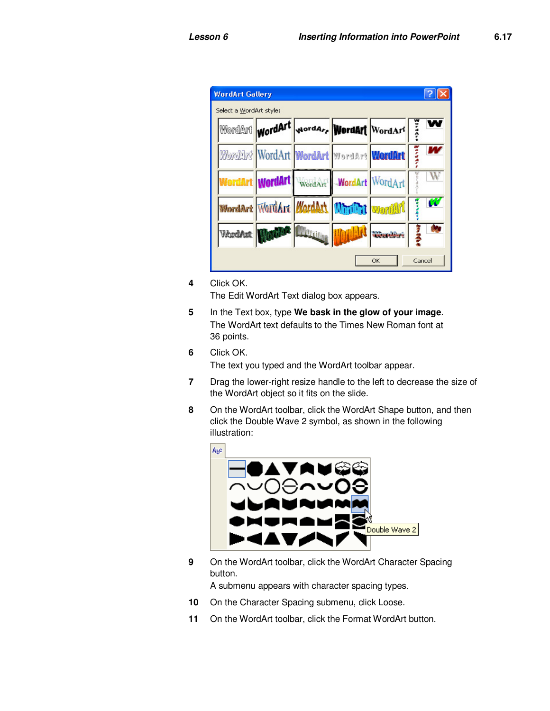|                         | <b>WordArt Gallery</b> |                                          |                 |  |                                         |       |
|-------------------------|------------------------|------------------------------------------|-----------------|--|-----------------------------------------|-------|
| Select a WordArt style: |                        |                                          |                 |  |                                         |       |
|                         |                        |                                          |                 |  | WordArt wordArt vordare WordArt WordArt | pa-02 |
|                         |                        | Wordar! WordArt WordArt WordArt WordArt  |                 |  |                                         | 50004 |
|                         |                        | WordArt   Wo <b>rdArt</b>                | WordArt         |  | WordArt WordArt                         |       |
|                         |                        | WordArt WordArt WordArt Ministri wordArt |                 |  |                                         | w     |
|                         | WordAut                |                                          | <b>Littling</b> |  | <b>Wearding</b>                         | ž     |
|                         | Cancel<br>ОК           |                                          |                 |  |                                         |       |

**4** Click OK.

The Edit WordArt Text dialog box appears.

- **5** In the Text box, type **We bask in the glow of your image**. The WordArt text defaults to the Times New Roman font at 36 points.
- **6** Click OK.

The text you typed and the WordArt toolbar appear.

- **7** Drag the lower-right resize handle to the left to decrease the size of the WordArt object so it fits on the slide.
- **8** On the WordArt toolbar, click the WordArt Shape button, and then click the Double Wave 2 symbol, as shown in the following illustration:





**9** On the WordArt toolbar, click the WordArt Character Spacing button.

A submenu appears with character spacing types.

- 10 On the Character Spacing submenu, click Loose.
- **11** On the WordArt toolbar, click the Format WordArt button.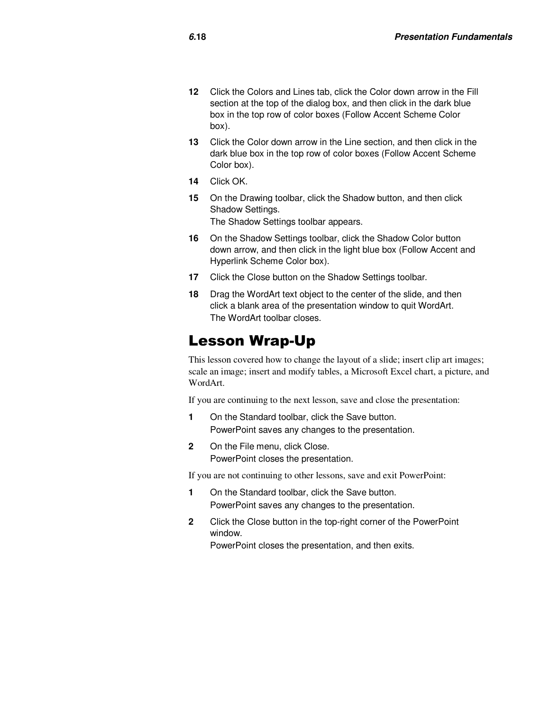- **12** Click the Colors and Lines tab, click the Color down arrow in the Fill section at the top of the dialog box, and then click in the dark blue box in the top row of color boxes (Follow Accent Scheme Color box).
- **13** Click the Color down arrow in the Line section, and then click in the dark blue box in the top row of color boxes (Follow Accent Scheme Color box).
- **14** Click OK.
- **15** On the Drawing toolbar, click the Shadow button, and then click Shadow Settings. The Shadow Settings toolbar appears.
- **16** On the Shadow Settings toolbar, click the Shadow Color button down arrow, and then click in the light blue box (Follow Accent and Hyperlink Scheme Color box).
- **17** Click the Close button on the Shadow Settings toolbar.
- **18** Drag the WordArt text object to the center of the slide, and then click a blank area of the presentation window to quit WordArt. The WordArt toolbar closes.

#### Lesson Wrap-Up

This lesson covered how to change the layout of a slide; insert clip art images; scale an image; insert and modify tables, a Microsoft Excel chart, a picture, and WordArt.

If you are continuing to the next lesson, save and close the presentation:

- **1** On the Standard toolbar, click the Save button. PowerPoint saves any changes to the presentation.
- **2** On the File menu, click Close. PowerPoint closes the presentation.

If you are not continuing to other lessons, save and exit PowerPoint:

- **1** On the Standard toolbar, click the Save button. PowerPoint saves any changes to the presentation.
- **2** Click the Close button in the top-right corner of the PowerPoint window.

PowerPoint closes the presentation, and then exits.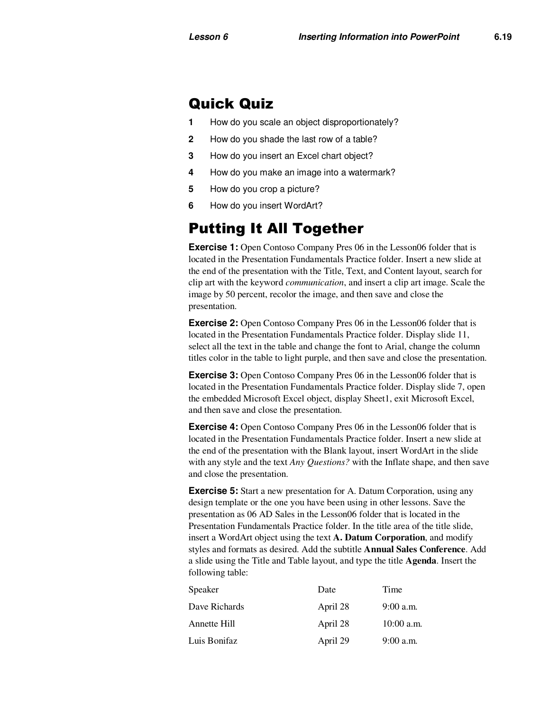#### Quick Quiz

- **1** How do you scale an object disproportionately?
- **2** How do you shade the last row of a table?
- **3** How do you insert an Excel chart object?
- **4** How do you make an image into a watermark?
- **5** How do you crop a picture?
- **6** How do you insert WordArt?

#### Putting It All Together

**Exercise 1:** Open Contoso Company Pres 06 in the Lesson06 folder that is located in the Presentation Fundamentals Practice folder. Insert a new slide at the end of the presentation with the Title, Text, and Content layout, search for clip art with the keyword *communication*, and insert a clip art image. Scale the image by 50 percent, recolor the image, and then save and close the presentation.

**Exercise 2:** Open Contoso Company Pres 06 in the Lesson06 folder that is located in the Presentation Fundamentals Practice folder. Display slide 11, select all the text in the table and change the font to Arial, change the column titles color in the table to light purple, and then save and close the presentation.

**Exercise 3:** Open Contoso Company Pres 06 in the Lesson06 folder that is located in the Presentation Fundamentals Practice folder. Display slide 7, open the embedded Microsoft Excel object, display Sheet1, exit Microsoft Excel, and then save and close the presentation.

**Exercise 4:** Open Contoso Company Pres 06 in the Lesson06 folder that is located in the Presentation Fundamentals Practice folder. Insert a new slide at the end of the presentation with the Blank layout, insert WordArt in the slide with any style and the text *Any Questions?* with the Inflate shape, and then save and close the presentation.

**Exercise 5:** Start a new presentation for A. Datum Corporation, using any design template or the one you have been using in other lessons. Save the presentation as 06 AD Sales in the Lesson06 folder that is located in the Presentation Fundamentals Practice folder. In the title area of the title slide, insert a WordArt object using the text **A. Datum Corporation**, and modify styles and formats as desired. Add the subtitle **Annual Sales Conference**. Add a slide using the Title and Table layout, and type the title **Agenda**. Insert the following table:

| Speaker       | Date     | Time         |
|---------------|----------|--------------|
| Dave Richards | April 28 | $9:00$ a.m.  |
| Annette Hill  | April 28 | $10:00$ a.m. |
| Luis Bonifaz  | April 29 | $9:00$ a.m.  |